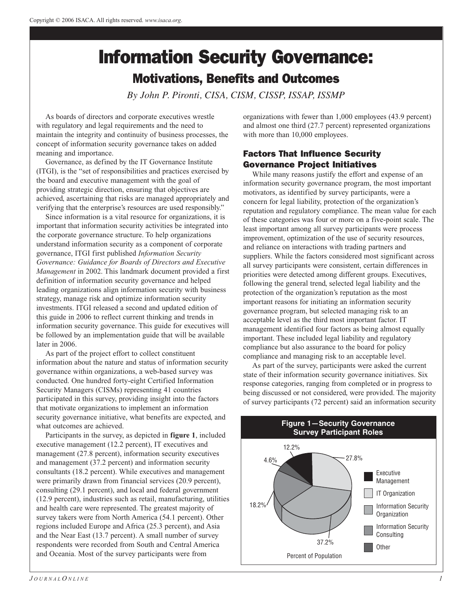# Information Security Governance: Motivations, Benefits and Outcomes

*By John P. Pironti, CISA, CISM, CISSP, ISSAP, ISSMP*

As boards of directors and corporate executives wrestle with regulatory and legal requirements and the need to maintain the integrity and continuity of business processes, the concept of information security governance takes on added meaning and importance.

Governance, as defined by the IT Governance Institute (ITGI), is the "set of responsibilities and practices exercised by the board and executive management with the goal of providing strategic direction, ensuring that objectives are achieved, ascertaining that risks are managed appropriately and verifying that the enterprise's resources are used responsibly."

Since information is a vital resource for organizations, it is important that information security activities be integrated into the corporate governance structure. To help organizations understand information security as a component of corporate governance, ITGI first published *Information Security Governance: Guidance for Boards of Directors and Executive Management* in 2002. This landmark document provided a first definition of information security governance and helped leading organizations align information security with business strategy, manage risk and optimize information security investments. ITGI released a second and updated edition of this guide in 2006 to reflect current thinking and trends in information security governance. This guide for executives will be followed by an implementation guide that will be available later in 2006.

As part of the project effort to collect constituent information about the nature and status of information security governance within organizations, a web-based survey was conducted. One hundred forty-eight Certified Information Security Managers (CISMs) representing 41 countries participated in this survey, providing insight into the factors that motivate organizations to implement an information security governance initiative, what benefits are expected, and what outcomes are achieved.

Participants in the survey, as depicted in **figure 1**, included executive management (12.2 percent), IT executives and management (27.8 percent), information security executives and management (37.2 percent) and information security consultants (18.2 percent). While executives and management were primarily drawn from financial services (20.9 percent), consulting (29.1 percent), and local and federal government (12.9 percent), industries such as retail, manufacturing, utilities and health care were represented. The greatest majority of survey takers were from North America (54.1 percent). Other regions included Europe and Africa (25.3 percent), and Asia and the Near East (13.7 percent). A small number of survey respondents were recorded from South and Central America and Oceania. Most of the survey participants were from

organizations with fewer than 1,000 employees (43.9 percent) and almost one third (27.7 percent) represented organizations with more than 10,000 employees.

# Factors That Influence Security Governance Project Initiatives

While many reasons justify the effort and expense of an information security governance program, the most important motivators, as identified by survey participants, were a concern for legal liability, protection of the organization's reputation and regulatory compliance. The mean value for each of these categories was four or more on a five-point scale. The least important among all survey participants were process improvement, optimization of the use of security resources, and reliance on interactions with trading partners and suppliers. While the factors considered most significant across all survey participants were consistent, certain differences in priorities were detected among different groups. Executives, following the general trend, selected legal liability and the protection of the organization's reputation as the most important reasons for initiating an information security governance program, but selected managing risk to an acceptable level as the third most important factor. IT management identified four factors as being almost equally important. These included legal liability and regulatory compliance but also assurance to the board for policy compliance and managing risk to an acceptable level.

As part of the survey, participants were asked the current state of their information security governance initiatives. Six response categories, ranging from completed or in progress to being discussed or not considered, were provided. The majority of survey participants (72 percent) said an information security

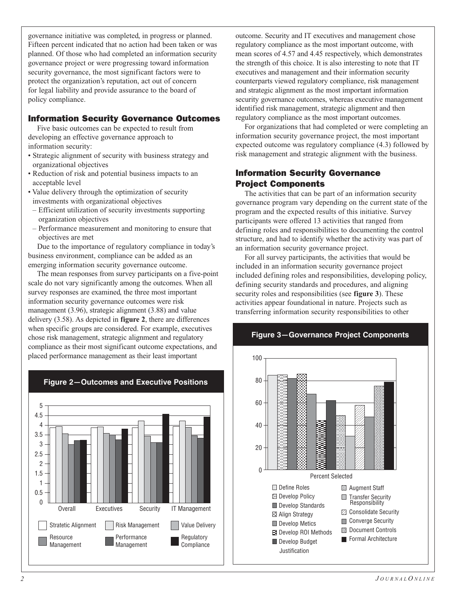governance initiative was completed, in progress or planned. Fifteen percent indicated that no action had been taken or was planned. Of those who had completed an information security governance project or were progressing toward information security governance, the most significant factors were to protect the organization's reputation, act out of concern for legal liability and provide assurance to the board of policy compliance.

## Information Security Governance Outcomes

Five basic outcomes can be expected to result from developing an effective governance approach to information security:

- Strategic alignment of security with business strategy and organizational objectives
- Reduction of risk and potential business impacts to an acceptable level
- Value delivery through the optimization of security investments with organizational objectives
- Efficient utilization of security investments supporting organization objectives
- Performance measurement and monitoring to ensure that objectives are met

Due to the importance of regulatory compliance in today's business environment, compliance can be added as an emerging information security governance outcome.

The mean responses from survey participants on a five-point scale do not vary significantly among the outcomes. When all survey responses are examined, the three most important information security governance outcomes were risk management (3.96), strategic alignment (3.88) and value delivery (3.58). As depicted in **figure 2**, there are differences when specific groups are considered. For example, executives chose risk management, strategic alignment and regulatory compliance as their most significant outcome expectations, and placed performance management as their least important



# **Figure 2—Outcomes and Executive Positions**

outcome. Security and IT executives and management chose regulatory compliance as the most important outcome, with mean scores of 4.57 and 4.45 respectively, which demonstrates the strength of this choice. It is also interesting to note that IT executives and management and their information security counterparts viewed regulatory compliance, risk management and strategic alignment as the most important information security governance outcomes, whereas executive management identified risk management, strategic alignment and then regulatory compliance as the most important outcomes.

For organizations that had completed or were completing an information security governance project, the most important expected outcome was regulatory compliance (4.3) followed by risk management and strategic alignment with the business.

## Information Security Governance Project Components

The activities that can be part of an information security governance program vary depending on the current state of the program and the expected results of this initiative. Survey participants were offered 13 activities that ranged from defining roles and responsibilities to documenting the control structure, and had to identify whether the activity was part of an information security governance project.

For all survey participants, the activities that would be included in an information security governance project included defining roles and responsibilities, developing policy, defining security standards and procedures, and aligning security roles and responsibilities (see **figure 3**). These activities appear foundational in nature. Projects such as transferring information security responsibilities to other

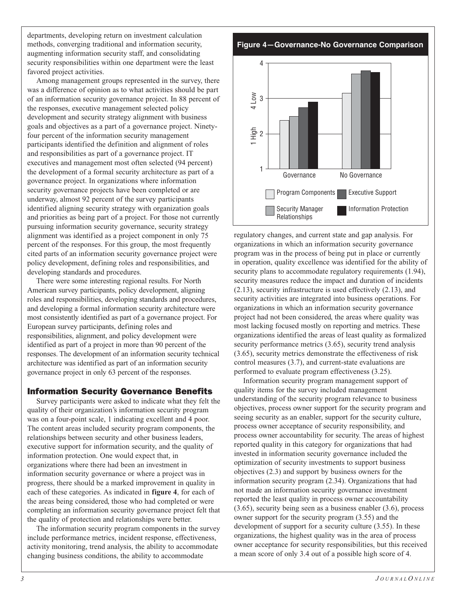departments, developing return on investment calculation methods, converging traditional and information security, augmenting information security staff, and consolidating security responsibilities within one department were the least favored project activities.

Among management groups represented in the survey, there was a difference of opinion as to what activities should be part of an information security governance project. In 88 percent of the responses, executive management selected policy development and security strategy alignment with business goals and objectives as a part of a governance project. Ninetyfour percent of the information security management participants identified the definition and alignment of roles and responsibilities as part of a governance project. IT executives and management most often selected (94 percent) the development of a formal security architecture as part of a governance project. In organizations where information security governance projects have been completed or are underway, almost 92 percent of the survey participants identified aligning security strategy with organization goals and priorities as being part of a project. For those not currently pursuing information security governance, security strategy alignment was identified as a project component in only 75 percent of the responses. For this group, the most frequently cited parts of an information security governance project were policy development, defining roles and responsibilities, and developing standards and procedures.

There were some interesting regional results. For North American survey participants, policy development, aligning roles and responsibilities, developing standards and procedures, and developing a formal information security architecture were most consistently identified as part of a governance project. For European survey participants, defining roles and responsibilities, alignment, and policy development were identified as part of a project in more than 90 percent of the responses. The development of an information security technical architecture was identified as part of an information security governance project in only 63 percent of the responses.

#### Information Security Governance Benefits

Survey participants were asked to indicate what they felt the quality of their organization's information security program was on a four-point scale, 1 indicating excellent and 4 poor. The content areas included security program components, the relationships between security and other business leaders, executive support for information security, and the quality of information protection. One would expect that, in organizations where there had been an investment in information security governance or where a project was in progress, there should be a marked improvement in quality in each of these categories. As indicated in **figure 4**, for each of the areas being considered, those who had completed or were completing an information security governance project felt that the quality of protection and relationships were better.

The information security program components in the survey include performance metrics, incident response, effectiveness, activity monitoring, trend analysis, the ability to accommodate changing business conditions, the ability to accommodate

**Figure 4—Governance-No Governance Comparison**



regulatory changes, and current state and gap analysis. For organizations in which an information security governance program was in the process of being put in place or currently in operation, quality excellence was identified for the ability of security plans to accommodate regulatory requirements  $(1.94)$ , security measures reduce the impact and duration of incidents (2.13), security infrastructure is used effectively (2.13), and security activities are integrated into business operations. For organizations in which an information security governance project had not been considered, the areas where quality was most lacking focused mostly on reporting and metrics. These organizations identified the areas of least quality as formalized security performance metrics  $(3.65)$ , security trend analysis (3.65), security metrics demonstrate the effectiveness of risk control measures (3.7), and current-state evaluations are performed to evaluate program effectiveness (3.25).

Information security program management support of quality items for the survey included management understanding of the security program relevance to business objectives, process owner support for the security program and seeing security as an enabler, support for the security culture, process owner acceptance of security responsibility, and process owner accountability for security. The areas of highest reported quality in this category for organizations that had invested in information security governance included the optimization of security investments to support business objectives (2.3) and support by business owners for the information security program (2.34). Organizations that had not made an information security governance investment reported the least quality in process owner accountability (3.65), security being seen as a business enabler (3.6), process owner support for the security program (3.55) and the development of support for a security culture (3.55). In these organizations, the highest quality was in the area of process owner acceptance for security responsibilities, but this received a mean score of only 3.4 out of a possible high score of 4. 1 High 4 Low